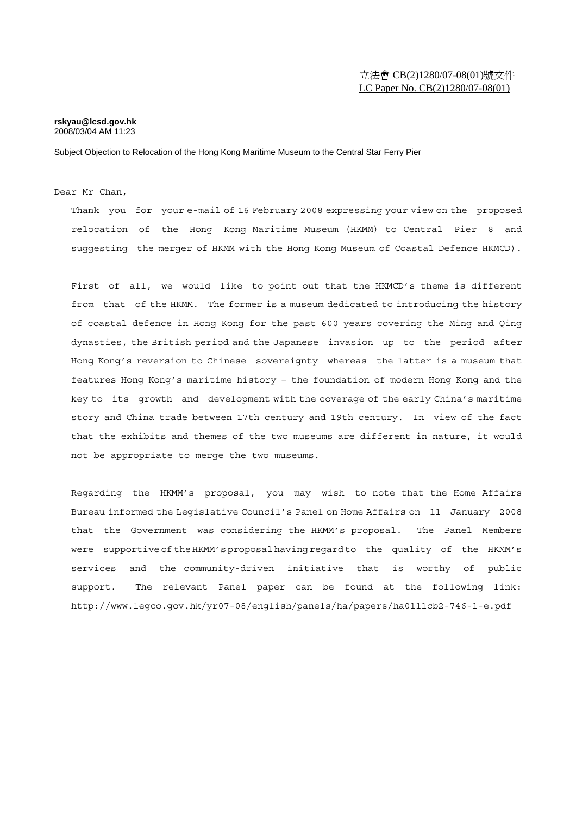## **rskyau@lcsd.gov.hk**  2008/03/04 AM 11:23

Subject Objection to Relocation of the Hong Kong Maritime Museum to the Central Star Ferry Pier

## Dear Mr Chan,

Thank you for your e-mail of 16 February 2008 expressing your view on the proposed relocation of the Hong Kong Maritime Museum (HKMM) to Central Pier 8 and suggesting the merger of HKMM with the Hong Kong Museum of Coastal Defence HKMCD).

First of all, we would like to point out that the HKMCD's theme is different from that of the HKMM. The former is a museum dedicated to introducing the history of coastal defence in Hong Kong for the past 600 years covering the Ming and Qing dynasties, the British period and the Japanese invasion up to the period after Hong Kong's reversion to Chinese sovereignty whereas the latter is a museum that features Hong Kong's maritime history – the foundation of modern Hong Kong and the key to its growth and development with the coverage of the early China's maritime story and China trade between 17th century and 19th century. In view of the fact that the exhibits and themes of the two museums are different in nature, it would not be appropriate to merge the two museums.

Regarding the HKMM's proposal, you may wish to note that the Home Affairs Bureau informed the Legislative Council's Panel on Home Affairs on 11 January 2008 that the Government was considering the HKMM's proposal. The Panel Members were supportive of the HKMM's proposal having regard to the quality of the HKMM's services and the community-driven initiative that is worthy of public support. The relevant Panel paper can be found at the following link: http://www.legco.gov.hk/yr07-08/english/panels/ha/papers/ha0111cb2-746-1-e.pdf